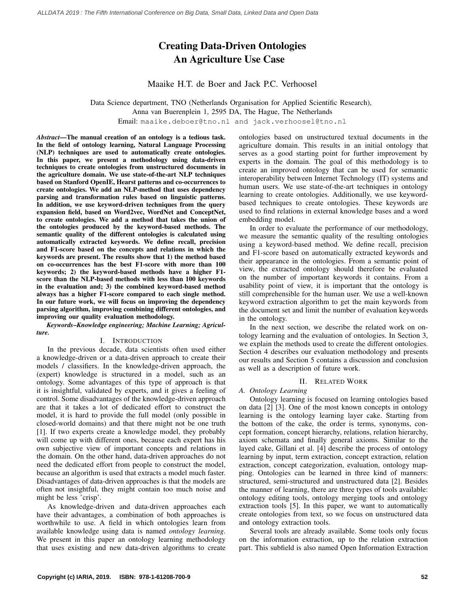## Creating Data-Driven Ontologies An Agriculture Use Case

Maaike H.T. de Boer and Jack P.C. Verhoosel

Data Science department, TNO (Netherlands Organisation for Applied Scientific Research), Anna van Buerenplein 1, 2595 DA, The Hague, The Netherlands

Email: maaike.deboer@tno.nl and jack.verhoosel@tno.nl

*Abstract*—The manual creation of an ontology is a tedious task. In the field of ontology learning, Natural Language Processing (NLP) techniques are used to automatically create ontologies. In this paper, we present a methodology using data-driven techniques to create ontologies from unstructured documents in the agriculture domain. We use state-of-the-art NLP techniques based on Stanford OpenIE, Hearst patterns and co-occurrences to create ontologies. We add an NLP-method that uses dependency parsing and transformation rules based on linguistic patterns. In addition, we use keyword-driven techniques from the query expansion field, based on Word2vec, WordNet and ConceptNet, to create ontologies. We add a method that takes the union of the ontologies produced by the keyword-based methods. The semantic quality of the different ontologies is calculated using automatically extracted keywords. We define recall, precision and F1-score based on the concepts and relations in which the keywords are present. The results show that 1) the method based on co-occurrences has the best F1-score with more than 100 keywords; 2) the keyword-based methods have a higher F1 score than the NLP-based methods with less than 100 keywords in the evaluation and; 3) the combined keyword-based method always has a higher F1-score compared to each single method. In our future work, we will focus on improving the dependency parsing algorithm, improving combining different ontologies, and improving our quality evaluation methodology.

*Keywords*–*Knowledge engineering; Machine Learning; Agriculture.*

### I. INTRODUCTION

In the previous decade, data scientists often used either a knowledge-driven or a data-driven approach to create their models / classifiers. In the knowledge-driven approach, the (expert) knowledge is structured in a model, such as an ontology. Some advantages of this type of approach is that it is insightful, validated by experts, and it gives a feeling of control. Some disadvantages of the knowledge-driven approach are that it takes a lot of dedicated effort to construct the model, it is hard to provide the full model (only possible in closed-world domains) and that there might not be one truth [1]. If two experts create a knowledge model, they probably will come up with different ones, because each expert has his own subjective view of important concepts and relations in the domain. On the other hand, data-driven approaches do not need the dedicated effort from people to construct the model, because an algorithm is used that extracts a model much faster. Disadvantages of data-driven approaches is that the models are often not insightful, they might contain too much noise and might be less 'crisp'.

As knowledge-driven and data-driven approaches each have their advantages, a combination of both approaches is worthwhile to use. A field in which ontologies learn from available knowledge using data is named *ontology learning*. We present in this paper an ontology learning methodology that uses existing and new data-driven algorithms to create ontologies based on unstructured textual documents in the agriculture domain. This results in an initial ontology that serves as a good starting point for further improvement by experts in the domain. The goal of this methodology is to create an improved ontology that can be used for semantic interoperability between Internet Technology (IT) systems and human users. We use state-of-the-art techniques in ontology learning to create ontologies. Additionally, we use keywordbased techniques to create ontologies. These keywords are used to find relations in external knowledge bases and a word embedding model.

In order to evaluate the performance of our methodology, we measure the semantic quality of the resulting ontologies using a keyword-based method. We define recall, precision and F1-score based on automatically extracted keywords and their appearance in the ontologies. From a semantic point of view, the extracted ontology should therefore be evaluated on the number of important keywords it contains. From a usability point of view, it is important that the ontology is still comprehensible for the human user. We use a well-known keyword extraction algorithm to get the main keywords from the document set and limit the number of evaluation keywords in the ontology.

In the next section, we describe the related work on ontology learning and the evaluation of ontologies. In Section 3, we explain the methods used to create the different ontologies. Section 4 describes our evaluation methodology and presents our results and Section 5 contains a discussion and conclusion as well as a description of future work.

## II. RELATED WORK

### *A. Ontology Learning*

Ontology learning is focused on learning ontologies based on data [2] [3]. One of the most known concepts in ontology learning is the ontology learning layer cake. Starting from the bottom of the cake, the order is terms, synonyms, concept formation, concept hierarchy, relations, relation hierarchy, axiom schemata and finally general axioms. Similar to the layed cake, Gillani et al. [4] describe the process of ontology learning by input, term extraction, concept extraction, relation extraction, concept categorization, evaluation, ontology mapping. Ontologies can be learned in three kind of manners: structured, semi-structured and unstructured data [2]. Besides the manner of learning, there are three types of tools available: ontology editing tools, ontology merging tools and ontology extraction tools [5]. In this paper, we want to automatically create ontologies from text, so we focus on unstructured data and ontology extraction tools.

Several tools are already available. Some tools only focus on the information extraction, up to the relation extraction part. This subfield is also named Open Information Extraction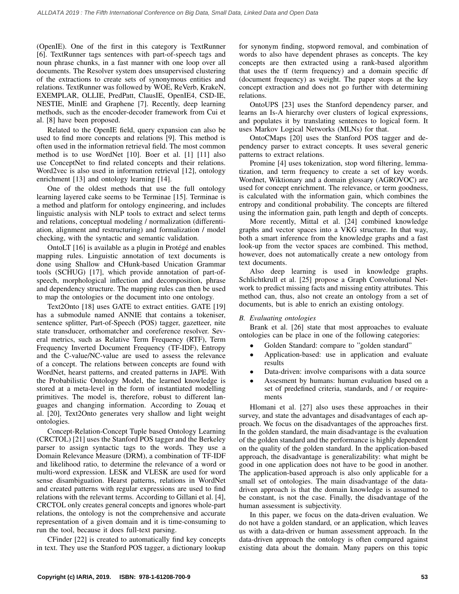(OpenIE). One of the first in this category is TextRunner [6]. TextRunner tags sentences with part-of-speech tags and noun phrase chunks, in a fast manner with one loop over all documents. The Resolver system does unsupervised clustering of the extractions to create sets of synonymous entities and relations. TextRunner was followed by WOE, ReVerb, KrakeN, EXEMPLAR, OLLIE, PredPatt, ClausIE, OpenIE4, CSD-IE, NESTIE, MinIE and Graphene [7]. Recently, deep learning methods, such as the encoder-decoder framework from Cui et al. [8] have been proposed.

Related to the OpenIE field, query expansion can also be used to find more concepts and relations [9]. This method is often used in the information retrieval field. The most common method is to use WordNet [10]. Boer et al. [1] [11] also use ConceptNet to find related concepts and their relations. Word2vec is also used in information retrieval [12], ontology enrichment [13] and ontology learning [14].

One of the oldest methods that use the full ontology learning layered cake seems to be Terminae [15]. Terminae is a method and platform for ontology engineering, and includes linguistic analysis with NLP tools to extract and select terms and relations, conceptual modeling / normalization (differentiation, alignment and restructuring) and formalization / model checking, with the syntactic and semantic validation.

OntoLT  $[16]$  is available as a plugin in Protégé and enables mapping rules. Linguistic annotation of text documents is done using Shallow and CHunk-based Unication Grammar tools (SCHUG) [17], which provide annotation of part-ofspeech, morphological inflection and decomposition, phrase and dependency structure. The mapping rules can then be used to map the ontologies or the document into one ontology.

Text2Onto [18] uses GATE to extract entities. GATE [19] has a submodule named ANNIE that contains a tokeniser, sentence splitter, Part-of-Speech (POS) tagger, gazetteer, nite state transducer, orthomatcher and coreference resolver. Several metrics, such as Relative Term Frequency (RTF), Term Frequency Inverted Document Frequency (TF-IDF), Entropy and the C-value/NC-value are used to assess the relevance of a concept. The relations between concepts are found with WordNet, hearst patterns, and created patterns in JAPE. With the Probabilistic Ontology Model, the learned knowledge is stored at a meta-level in the form of instantiated modelling primitives. The model is, therefore, robust to different languages and changing information. According to Zouaq et al. [20], Text2Onto generates very shallow and light weight ontologies.

Concept-Relation-Concept Tuple based Ontology Learning (CRCTOL) [21] uses the Stanford POS tagger and the Berkeley parser to assign syntactic tags to the words. They use a Domain Relevance Measure (DRM), a combination of TF-IDF and likelihood ratio, to determine the relevance of a word or multi-word expression. LESK and VLESK are used for word sense disambiguation. Hearst patterns, relations in WordNet and created patterns with regular expressions are used to find relations with the relevant terms. According to Gillani et al. [4], CRCTOL only creates general concepts and ignores whole-part relations, the ontology is not the comprehensive and accurate representation of a given domain and it is time-consuming to run the tool, because it does full-text parsing.

CFinder [22] is created to automatically find key concepts in text. They use the Stanford POS tagger, a dictionary lookup for synonym finding, stopword removal, and combination of words to also have dependent phrases as concepts. The key concepts are then extracted using a rank-based algorithm that uses the tf (term frequency) and a domain specific df (document frequency) as weight. The paper stops at the key concept extraction and does not go further with determining relations.

OntoUPS [23] uses the Stanford dependency parser, and learns an Is-A hierarchy over clusters of logical expressions, and populates it by translating sentences to logical form. It uses Markov Logical Networks (MLNs) for that.

OntoCMaps [20] uses the Stanford POS tagger and dependency parser to extract concepts. It uses several generic patterns to extract relations.

Promine [4] uses tokenization, stop word filtering, lemmatization, and term frequency to create a set of key words. Wordnet, Wiktionary and a domain glossary (AGROVOC) are used for concept enrichment. The relevance, or term goodness, is calculated with the information gain, which combines the entropy and conditional probability. The concepts are filtered using the information gain, path length and depth of concepts.

More recently, Mittal et al. [24] combined knowledge graphs and vector spaces into a VKG structure. In that way, both a smart inference from the knowledge graphs and a fast look-up from the vector spaces are combined. This method, however, does not automatically create a new ontology from text documents.

Also deep learning is used in knowledge graphs. Schlichtkrull et al. [25] propose a Graph Convolutional Network to predict missing facts and missing entity attributes. This method can, thus, also not create an ontology from a set of documents, but is able to enrich an existing ontology.

## *B. Evaluating ontologies*

Brank et al. [26] state that most approaches to evaluate ontologies can be place in one of the following categories:

- Golden Standard: compare to "golden standard"
- Application-based: use in application and evaluate results
- Data-driven: involve comparisons with a data source
- Assesment by humans: human evaluation based on a set of predefined criteria, standards, and / or requirements

Hlomani et al. [27] also uses these approaches in their survey, and state the advantages and disadvantages of each approach. We focus on the disadvantages of the approaches first. In the golden standard, the main disadvantage is the evaluation of the golden standard and the performance is highly dependent on the quality of the golden standard. In the application-based approach, the disadvantage is generalizability: what might be good in one application does not have to be good in another. The application-based approach is also only applicable for a small set of ontologies. The main disadvantage of the datadriven approach is that the domain knowledge is assumed to be constant, is not the case. Finally, the disadvantage of the human assessment is subjectivity.

In this paper, we focus on the data-driven evaluation. We do not have a golden standard, or an application, which leaves us with a data-driven or human assessment approach. In the data-driven approach the ontology is often compared against existing data about the domain. Many papers on this topic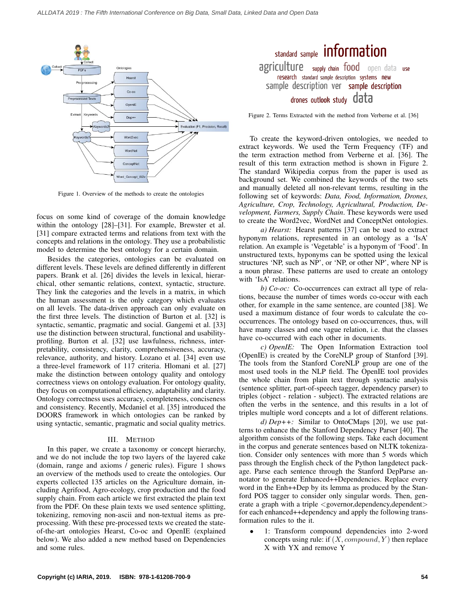

Figure 1. Overview of the methods to create the ontologies

focus on some kind of coverage of the domain knowledge within the ontology [28]–[31]. For example, Brewster et al. [31] compare extracted terms and relations from text with the concepts and relations in the ontology. They use a probabilistic model to determine the best ontology for a certain domain.

Besides the categories, ontologies can be evaluated on different levels. These levels are defined differently in different papers. Brank et al. [26] divides the levels in lexical, hierarchical, other semantic relations, context, syntactic, structure. They link the categories and the levels in a matrix, in which the human assessment is the only category which evaluates on all levels. The data-driven approach can only evaluate on the first three levels. The distinction of Burton et al. [32] is syntactic, semantic, pragmatic and social. Gangemi et al. [33] use the distinction between structural, functional and usabilityprofiling. Burton et al. [32] use lawfulness, richness, interpretability, consistency, clarity, comprehensiveness, accuracy, relevance, authority, and history. Lozano et al. [34] even use a three-level framework of 117 criteria. Hlomani et al. [27] make the distinction between ontology quality and ontology correctness views on ontology evaluation. For ontology quality, they focus on computational efficiency, adaptability and clarity. Ontology correctness uses accuracy, completeness, conciseness and consistency. Recently, Mcdaniel et al. [35] introduced the DOORS framework in which ontologies can be ranked by using syntactic, semantic, pragmatic and social quality metrics.

### III. METHOD

In this paper, we create a taxonomy or concept hierarchy, and we do not include the top two layers of the layered cake (domain, range and axioms / generic rules). Figure 1 shows an overview of the methods used to create the ontologies. Our experts collected 135 articles on the Agriculture domain, including Agrifood, Agro-ecology, crop production and the food supply chain. From each article we first extracted the plain text from the PDF. On these plain texts we used sentence splitting, tokenizing, removing non-ascii and non-textual items as preprocessing. With these pre-processed texts we created the stateof-the-art ontologies Hearst, Co-oc and OpenIE (explained below). We also added a new method based on Dependencies and some rules.

# standard sample information agriculture supply chain food open data use research standard sample description systems new sample description ver sample description drones outlook study data

Figure 2. Terms Extracted with the method from Verberne et al. [36]

To create the keyword-driven ontologies, we needed to extract keywords. We used the Term Frequency (TF) and the term extraction method from Verberne et al. [36]. The result of this term extraction method is shown in Figure 2. The standard Wikipedia corpus from the paper is used as background set. We combined the keywords of the two sets and manually deleted all non-relevant terms, resulting in the following set of keywords: *Data, Food, Information, Drones, Agriculture, Crop, Technology, Agricultural, Production, Development, Farmers, Supply Chain*. These keywords were used to create the Word2vec, WordNet and ConceptNet ontologies.

*a) Hearst:* Hearst patterns [37] can be used to extract hyponym relations, represented in an ontology as a 'IsA' relation. An example is 'Vegetable' is a hyponym of 'Food'. In unstructured texts, hyponyms can be spotted using the lexical structures 'NP, such as NP', or 'NP, or other NP', where NP is a noun phrase. These patterns are used to create an ontology with 'IsA' relations.

*b) Co-oc:* Co-occurrences can extract all type of relations, because the number of times words co-occur with each other, for example in the same sentence, are counted [38]. We used a maximum distance of four words to calculate the cooccurrences. The ontology based on co-occurrences, thus, will have many classes and one vague relation, i.e. that the classes have co-occurred with each other in documents.

*c) OpenIE:* The Open Information Extraction tool (OpenIE) is created by the CoreNLP group of Stanford [39]. The tools from the Stanford CoreNLP group are one of the most used tools in the NLP field. The OpenIE tool provides the whole chain from plain text through syntactic analysis (sentence splitter, part-of-speech tagger, dependency parser) to triples (object - relation - subject). The extracted relations are often the verbs in the sentence, and this results in a lot of triples multiple word concepts and a lot of different relations.

*d) Dep++:* Similar to OntoCMaps [20], we use patterns to enhance the the Stanford Dependency Parser [40]. The algorithm consists of the following steps. Take each document in the corpus and generate sentences based on NLTK tokenization. Consider only sentences with more than 5 words which pass through the English check of the Python langdetect package. Parse each sentence through the Stanford DepParse annotator to generate Enhanced++Dependencies. Replace every word in the Enh++Dep by its lemma as produced by the Stanford POS tagger to consider only singular words. Then, generate a graph with a triple <governor,dependency,dependent> for each enhanced++dependency and apply the following transformation rules to the it.

• 1: Transform compound dependencies into 2-word concepts using rule: if  $(X, compound, Y)$  then replace X with YX and remove Y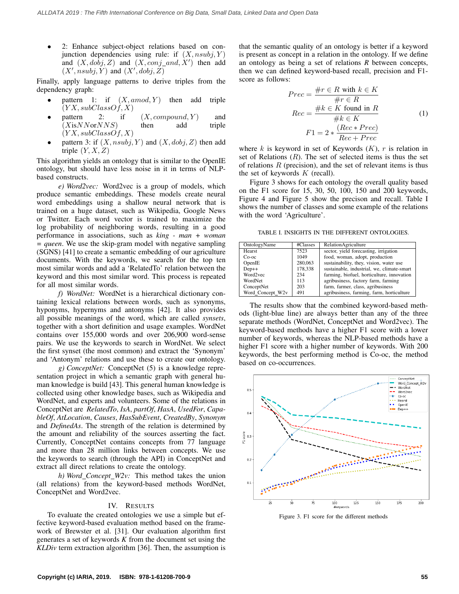• 2: Enhance subject-object relations based on conjunction dependencies using rule: if  $(X, nsubj, Y)$ and  $(X, dobj, Z)$  and  $(X, conj\_and, X')$  then add  $(X', \textit{nsubj}, Y)$  and  $(X', \textit{dobj}, Z)$ 

Finally, apply language patterns to derive triples from the dependency graph:

- pattern 1: if  $(X, amod, Y)$  then add triple  $(YX, subClassOf, X)$
- pattern 2: if  $(X, compound, Y)$  and  $(XisNNorNNS)$  then add triple  $(YX, subClassOf, X)$
- pattern 3: if  $(X, nsubj, Y)$  and  $(X, dobj, Z)$  then add triple  $(Y, X, Z)$

This algorithm yields an ontology that is similar to the OpenIE ontology, but should have less noise in it in terms of NLPbased constructs.

*e) Word2vec:* Word2vec is a group of models, which produce semantic embeddings. These models create neural word embeddings using a shallow neural network that is trained on a huge dataset, such as Wikipedia, Google News or Twitter. Each word vector is trained to maximize the log probability of neighboring words, resulting in a good performance in associations, such as *king - man + woman = queen*. We use the skip-gram model with negative sampling (SGNS) [41] to create a semantic embedding of our agriculture documents. With the keywords, we search for the top ten most similar words and add a 'RelatedTo' relation between the keyword and this most similar word. This process is repeated for all most similar words.

*f) WordNet:* WordNet is a hierarchical dictionary containing lexical relations between words, such as synonyms, hyponyms, hypernyms and antonyms [42]. It also provides all possible meanings of the word, which are called *synsets*, together with a short definition and usage examples. WordNet contains over 155,000 words and over 206,900 word-sense pairs. We use the keywords to search in WordNet. We select the first synset (the most common) and extract the 'Synonym' and 'Antonym' relations and use these to create our ontology.

*g) ConceptNet:* ConceptNet (5) is a knowledge representation project in which a semantic graph with general human knowledge is build [43]. This general human knowledge is collected using other knowledge bases, such as Wikipedia and WordNet, and experts and volunteers. Some of the relations in ConceptNet are *RelatedTo*, *IsA*, *partOf*, *HasA*, *UsedFor*, *CapableOf*, *AtLocation*, *Causes*, *HasSubEvent*, *CreatedBy*, *Synonym* and *DefinedAs*. The strength of the relation is determined by the amount and reliability of the sources asserting the fact. Currently, ConceptNet contains concepts from 77 language and more than 28 million links between concepts. We use the keywords to search (through the API) in ConceptNet and extract all direct relations to create the ontology.

*h) Word Concept W2v:* This method takes the union (all relations) from the keyword-based methods WordNet, ConceptNet and Word2vec.

## IV. RESULTS

To evaluate the created ontologies we use a simple but effective keyword-based evaluation method based on the framework of Brewster et al. [31]. Our evaluation algorithm first generates a set of keywords *K* from the document set using the *KLDiv* term extraction algorithm [36]. Then, the assumption is that the semantic quality of an ontology is better if a keyword is present as concept in a relation in the ontology. If we define an ontology as being a set of relations *R* between concepts, then we can defined keyword-based recall, precision and F1 score as follows:

$$
Prec = \frac{\#r \in R \text{ with } k \in K}{\#r \in R}
$$

$$
Rec = \frac{\#k \in K \text{ found in } R}{\#k \in K}
$$

$$
F1 = 2 * \frac{(Rec * Prec)}{Rec + Prec}
$$
(1)

where  $k$  is keyword in set of Keywords  $(K)$ ,  $r$  is relation in set of Relations  $(R)$ . The set of selected items is thus the set of relations  $R$  (precision), and the set of relevant items is thus the set of keywords  $K$  (recall).

Figure 3 shows for each ontology the overall quality based on the F1 score for 15, 30, 50, 100, 150 and 200 keywords, Figure 4 and Figure 5 show the precison and recall. Table I shows the number of classes and some example of the relations with the word 'Agriculture'.

TABLE I. INSIGHTS IN THE DIFFERENT ONTOLOGIES.

| OntologyName     | #Classes | RelationAgriculture                        |
|------------------|----------|--------------------------------------------|
| Hearst           | 7523     | sector, yield forecasting, irrigation      |
| $Co-oc$          | 1049     | food, woman, adopt, production             |
| OpenIE           | 280,063  | sustainability, they, vision, water use    |
| $Dep++$          | 178,338  | sustainable, industrial, we, climate-smart |
| Word2vec         | 234      | farming, biofuel, horticulture, innovation |
| WordNet          | 113      | agribusiness, factory farm, farming        |
| ConceptNet       | 203      | farm, farmer, class, agribusiness          |
| Word_Concept_W2v | 491      | agribusiness, farming, farm, horticulture  |

The results show that the combined keyword-based methods (light-blue line) are always better than any of the three separate methods (WordNet, ConceptNet and Word2vec). The keyword-based methods have a higher F1 score with a lower number of keywords, whereas the NLP-based methods have a higher F1 score with a higher number of keywords. With 200 keywords, the best performing method is Co-oc, the method based on co-occurrences.



Figure 3. F1 score for the different methods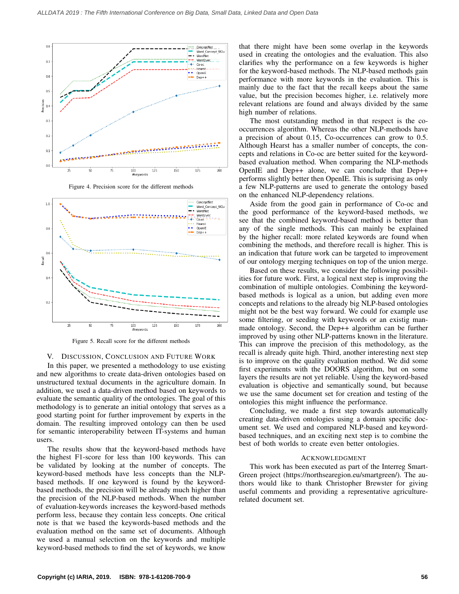

Figure 4. Precision score for the different methods



Figure 5. Recall score for the different methods

### V. DISCUSSION, CONCLUSION AND FUTURE WORK

In this paper, we presented a methodology to use existing and new algorithms to create data-driven ontologies based on unstructured textual documents in the agriculture domain. In addition, we used a data-driven method based on keywords to evaluate the semantic quality of the ontologies. The goal of this methodology is to generate an initial ontology that serves as a good starting point for further improvement by experts in the domain. The resulting improved ontology can then be used for semantic interoperability between IT-systems and human users.

The results show that the keyword-based methods have the highest F1-score for less than 100 keywords. This can be validated by looking at the number of concepts. The keyword-based methods have less concepts than the NLPbased methods. If one keyword is found by the keywordbased methods, the precision will be already much higher than the precision of the NLP-based methods. When the number of evaluation-keywords increases the keyword-based methods perform less, because they contain less concepts. One critical note is that we based the keywords-based methods and the evaluation method on the same set of documents. Although we used a manual selection on the keywords and multiple keyword-based methods to find the set of keywords, we know

that there might have been some overlap in the keywords used in creating the ontologies and the evaluation. This also clarifies why the performance on a few keywords is higher for the keyword-based methods. The NLP-based methods gain performance with more keywords in the evaluation. This is mainly due to the fact that the recall keeps about the same value, but the precision becomes higher, i.e. relatively more relevant relations are found and always divided by the same high number of relations.

The most outstanding method in that respect is the cooccurrences algorithm. Whereas the other NLP-methods have a precision of about 0.15, Co-occurrences can grow to 0.5. Although Hearst has a smaller number of concepts, the concepts and relations in Co-oc are better suited for the keywordbased evaluation method. When comparing the NLP-methods OpenIE and Dep++ alone, we can conclude that Dep++ performs slightly better then OpenIE. This is surprising as only a few NLP-patterns are used to generate the ontology based on the enhanced NLP-dependency relations.

Aside from the good gain in performance of Co-oc and the good performance of the keyword-based methods, we see that the combined keyword-based method is better than any of the single methods. This can mainly be explained by the higher recall: more related keywords are found when combining the methods, and therefore recall is higher. This is an indication that future work can be targeted to improvement of our ontology merging techniques on top of the union merge.

Based on these results, we consider the following possibilities for future work. First, a logical next step is improving the combination of multiple ontologies. Combining the keywordbased methods is logical as a union, but adding even more concepts and relations to the already big NLP-based ontologies might not be the best way forward. We could for example use some filtering, or seeding with keywords or an existig manmade ontology. Second, the Dep++ algorithm can be further improved by using other NLP-patterns known in the literature. This can improve the precision of this methodology, as the recall is already quite high. Third, another interesting next step is to improve on the quality evaluation method. We did some first experiments with the DOORS algorithm, but on some layers the results are not yet reliable. Using the keyword-based evaluation is objective and semantically sound, but because we use the same document set for creation and testing of the ontologies this might influence the performance.

Concluding, we made a first step towards automatically creating data-driven ontologies using a domain specific document set. We used and compared NLP-based and keywordbased techniques, and an exciting next step is to combine the best of both worlds to create even better ontologies.

### ACKNOWLEDGMENT

This work has been executed as part of the Interreg Smart-Green project (https://northsearegion.eu/smartgreen/). The authors would like to thank Christopher Brewster for giving useful comments and providing a representative agriculturerelated document set.